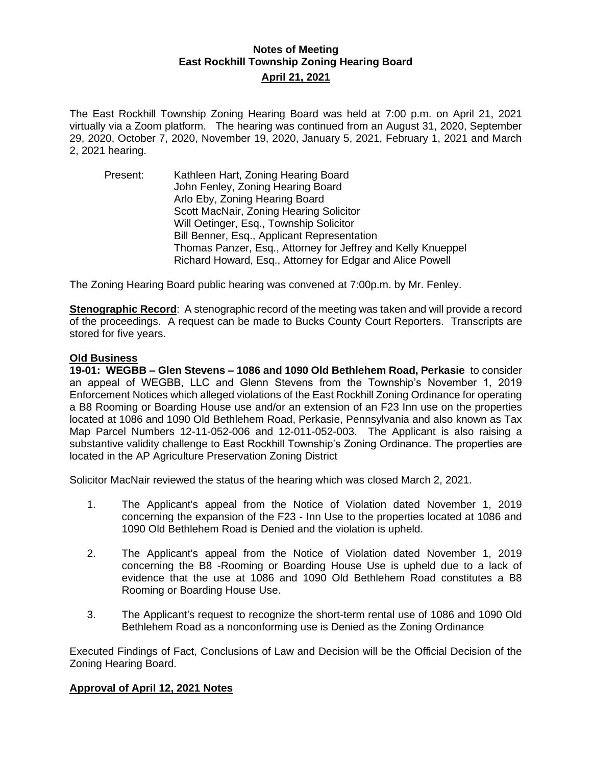## **Notes of Meeting East Rockhill Township Zoning Hearing Board April 21, 2021**

The East Rockhill Township Zoning Hearing Board was held at 7:00 p.m. on April 21, 2021 virtually via a Zoom platform. The hearing was continued from an August 31, 2020, September 29, 2020, October 7, 2020, November 19, 2020, January 5, 2021, February 1, 2021 and March 2, 2021 hearing.

Present: Kathleen Hart, Zoning Hearing Board John Fenley, Zoning Hearing Board Arlo Eby, Zoning Hearing Board Scott MacNair, Zoning Hearing Solicitor Will Oetinger, Esq., Township Solicitor Bill Benner, Esq., Applicant Representation Thomas Panzer, Esq., Attorney for Jeffrey and Kelly Knueppel Richard Howard, Esq., Attorney for Edgar and Alice Powell

The Zoning Hearing Board public hearing was convened at 7:00p.m. by Mr. Fenley.

**Stenographic Record**: A stenographic record of the meeting was taken and will provide a record of the proceedings. A request can be made to Bucks County Court Reporters. Transcripts are stored for five years.

## **Old Business**

**19-01: WEGBB – Glen Stevens – 1086 and 1090 Old Bethlehem Road, Perkasie** to consider an appeal of WEGBB, LLC and Glenn Stevens from the Township's November 1, 2019 Enforcement Notices which alleged violations of the East Rockhill Zoning Ordinance for operating a B8 Rooming or Boarding House use and/or an extension of an F23 Inn use on the properties located at 1086 and 1090 Old Bethlehem Road, Perkasie, Pennsylvania and also known as Tax Map Parcel Numbers 12-11-052-006 and 12-011-052-003. The Applicant is also raising a substantive validity challenge to East Rockhill Township's Zoning Ordinance. The properties are located in the AP Agriculture Preservation Zoning District

Solicitor MacNair reviewed the status of the hearing which was closed March 2, 2021.

- 1. The Applicant's appeal from the Notice of Violation dated November 1, 2019 concerning the expansion of the F23 - Inn Use to the properties located at 1086 and 1090 Old Bethlehem Road is Denied and the violation is upheld.
- 2. The Applicant's appeal from the Notice of Violation dated November 1, 2019 concerning the B8 -Rooming or Boarding House Use is upheld due to a lack of evidence that the use at 1086 and 1090 Old Bethlehem Road constitutes a B8 Rooming or Boarding House Use.
- 3. The Applicant's request to recognize the short-term rental use of 1086 and 1090 Old Bethlehem Road as a nonconforming use is Denied as the Zoning Ordinance

Executed Findings of Fact, Conclusions of Law and Decision will be the Official Decision of the Zoning Hearing Board.

## **Approval of April 12, 2021 Notes**